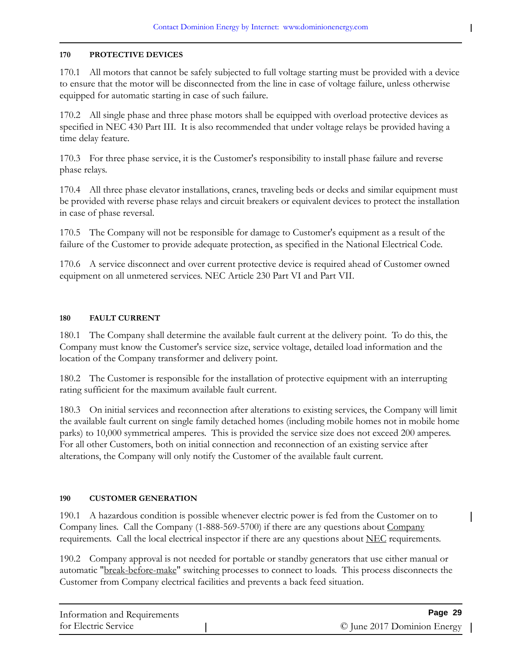$\mathbf l$ 

## **170 PROTECTIVE DEVICES**

170.1 All motors that cannot be safely subjected to full voltage starting must be provided with a device to ensure that the motor will be disconnected from the line in case of voltage failure, unless otherwise equipped for automatic starting in case of such failure.

170.2 All single phase and three phase motors shall be equipped with overload protective devices as specified in NEC 430 Part III. It is also recommended that under voltage relays be provided having a time delay feature.

170.3 For three phase service, it is the Customer's responsibility to install phase failure and reverse phase relays.

170.4 All three phase elevator installations, cranes, traveling beds or decks and similar equipment must be provided with reverse phase relays and circuit breakers or equivalent devices to protect the installation in case of phase reversal.

170.5 The Company will not be responsible for damage to Customer's equipment as a result of the failure of the Customer to provide adequate protection, as specified in the National Electrical Code.

170.6 A service disconnect and over current protective device is required ahead of Customer owned equipment on all unmetered services. NEC Article 230 Part VI and Part VII.

## **180 FAULT CURRENT**

180.1 The Company shall determine the available fault current at the delivery point. To do this, the Company must know the Customer's service size, service voltage, detailed load information and the location of the Company transformer and delivery point.

180.2 The Customer is responsible for the installation of protective equipment with an interrupting rating sufficient for the maximum available fault current.

180.3 On initial services and reconnection after alterations to existing services, the Company will limit the available fault current on single family detached homes (including mobile homes not in mobile home parks) to 10,000 symmetrical amperes. This is provided the service size does not exceed 200 amperes. For all other Customers, both on initial connection and reconnection of an existing service after alterations, the Company will only notify the Customer of the available fault current.

## **190 CUSTOMER GENERATION**

190.1 A hazardous condition is possible whenever electric power is fed from the Customer on to Company lines. Call the Company (1-888-569-5700) if there are any questions about Company requirements. Call the local electrical inspector if there are any questions about NEC requirements.

190.2 Company approval is not needed for portable or standby generators that use either manual or automatic "break-before-make" switching processes to connect to loads. This process disconnects the Customer from Company electrical facilities and prevents a back feed situation.

| Information and Requirements | Page 29                     |
|------------------------------|-----------------------------|
| for Electric Service         | © June 2017 Dominion Energy |